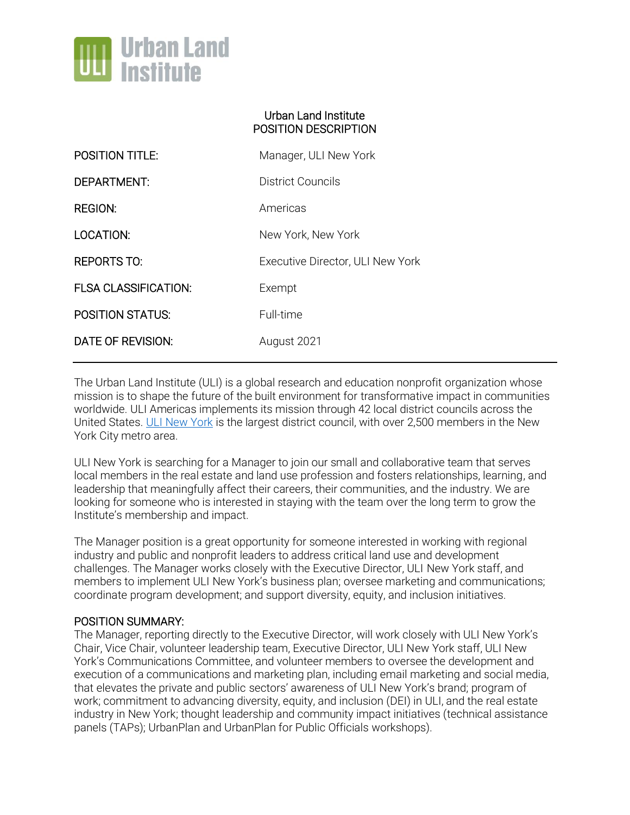

### Urban Land Institute POSITION DESCRIPTION

| <b>POSITION TITLE:</b>      | Manager, ULI New York            |
|-----------------------------|----------------------------------|
| DEPARTMENT:                 | District Councils                |
| REGION:                     | Americas                         |
| LOCATION:                   | New York, New York               |
| REPORTS TO:                 | Executive Director, ULI New York |
| <b>FLSA CLASSIFICATION:</b> | Exempt                           |
| <b>POSITION STATUS:</b>     | Full-time                        |
| DATE OF REVISION:           | August 2021                      |

The Urban Land Institute (ULI) is a global research and education nonprofit organization whose mission is to shape the future of the built environment for transformative impact in communities worldwide. ULI Americas implements its mission through 42 local district councils across the United States. [ULI New York](https://newyork.uli.org/) is the largest district council, with over 2,500 members in the New York City metro area.

ULI New York is searching for a Manager to join our small and collaborative team that serves local members in the real estate and land use profession and fosters relationships, learning, and leadership that meaningfully affect their careers, their communities, and the industry. We are looking for someone who is interested in staying with the team over the long term to grow the Institute's membership and impact.

The Manager position is a great opportunity for someone interested in working with regional industry and public and nonprofit leaders to address critical land use and development challenges. The Manager works closely with the Executive Director, ULI New York staff, and members to implement ULI New York's business plan; oversee marketing and communications; coordinate program development; and support diversity, equity, and inclusion initiatives.

### POSITION SUMMARY:

The Manager, reporting directly to the Executive Director, will work closely with ULI New York's Chair, Vice Chair, volunteer leadership team, Executive Director, ULI New York staff, ULI New York's Communications Committee, and volunteer members to oversee the development and execution of a communications and marketing plan, including email marketing and social media, that elevates the private and public sectors' awareness of ULI New York's brand; program of work; commitment to advancing diversity, equity, and inclusion (DEI) in ULI, and the real estate industry in New York; thought leadership and community impact initiatives (technical assistance panels (TAPs); UrbanPlan and UrbanPlan for Public Officials workshops).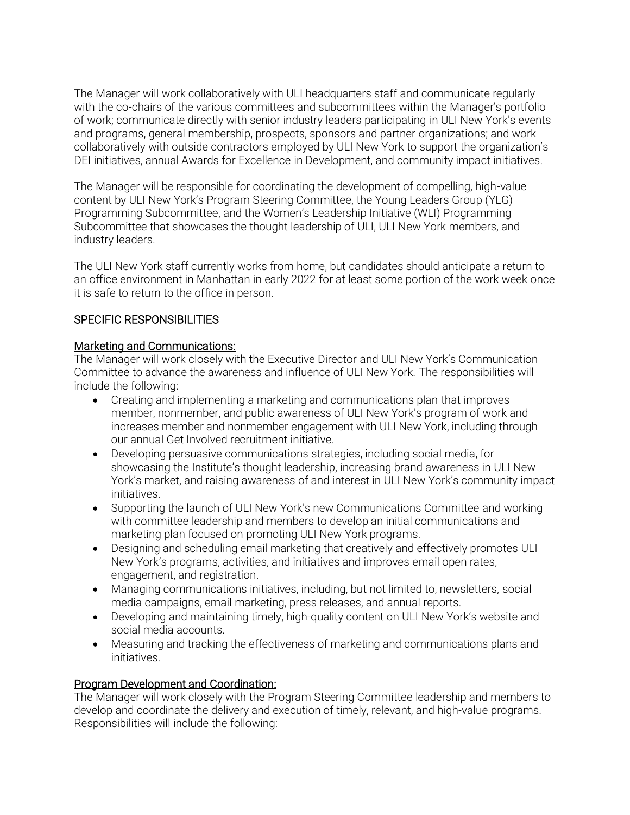The Manager will work collaboratively with ULI headquarters staff and communicate regularly with the co-chairs of the various committees and subcommittees within the Manager's portfolio of work; communicate directly with senior industry leaders participating in ULI New York's events and programs, general membership, prospects, sponsors and partner organizations; and work collaboratively with outside contractors employed by ULI New York to support the organization's DEI initiatives, annual Awards for Excellence in Development, and community impact initiatives.

The Manager will be responsible for coordinating the development of compelling, high-value content by ULI New York's Program Steering Committee, the Young Leaders Group (YLG) Programming Subcommittee, and the Women's Leadership Initiative (WLI) Programming Subcommittee that showcases the thought leadership of ULI, ULI New York members, and industry leaders.

The ULI New York staff currently works from home, but candidates should anticipate a return to an office environment in Manhattan in early 2022 for at least some portion of the work week once it is safe to return to the office in person.

## SPECIFIC RESPONSIBILITIES

### Marketing and Communications:

The Manager will work closely with the Executive Director and ULI New York's Communication Committee to advance the awareness and influence of ULI New York. The responsibilities will include the following:

- Creating and implementing a marketing and communications plan that improves member, nonmember, and public awareness of ULI New York's program of work and increases member and nonmember engagement with ULI New York, including through our annual Get Involved recruitment initiative.
- Developing persuasive communications strategies, including social media, for showcasing the Institute's thought leadership, increasing brand awareness in ULI New York's market, and raising awareness of and interest in ULI New York's community impact initiatives.
- Supporting the launch of ULI New York's new Communications Committee and working with committee leadership and members to develop an initial communications and marketing plan focused on promoting ULI New York programs.
- Designing and scheduling email marketing that creatively and effectively promotes ULI New York's programs, activities, and initiatives and improves email open rates, engagement, and registration.
- Managing communications initiatives, including, but not limited to, newsletters, social media campaigns, email marketing, press releases, and annual reports.
- Developing and maintaining timely, high-quality content on ULI New York's website and social media accounts.
- Measuring and tracking the effectiveness of marketing and communications plans and initiatives.

# Program Development and Coordination:

The Manager will work closely with the Program Steering Committee leadership and members to develop and coordinate the delivery and execution of timely, relevant, and high-value programs. Responsibilities will include the following: